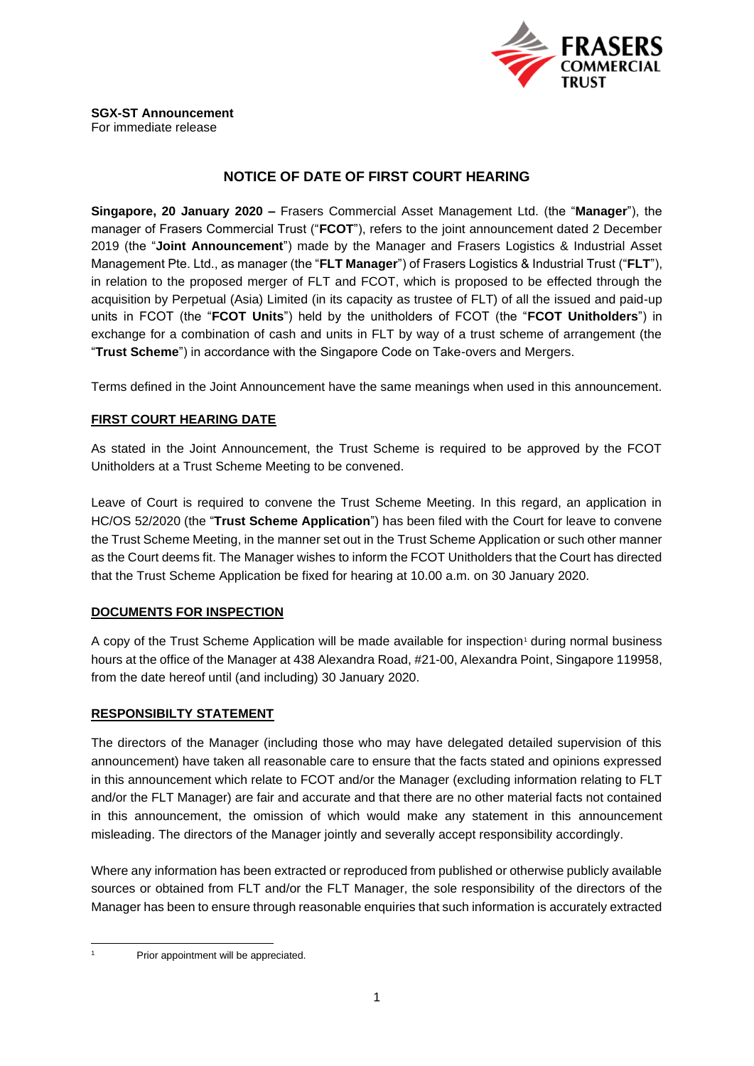

# **NOTICE OF DATE OF FIRST COURT HEARING**

**Singapore, 20 January 2020 –** Frasers Commercial Asset Management Ltd. (the "**Manager**"), the manager of Frasers Commercial Trust ("**FCOT**"), refers to the joint announcement dated 2 December 2019 (the "**Joint Announcement**") made by the Manager and Frasers Logistics & Industrial Asset Management Pte. Ltd., as manager (the "**FLT Manager**") of Frasers Logistics & Industrial Trust ("**FLT**"), in relation to the proposed merger of FLT and FCOT, which is proposed to be effected through the acquisition by Perpetual (Asia) Limited (in its capacity as trustee of FLT) of all the issued and paid-up units in FCOT (the "**FCOT Units**") held by the unitholders of FCOT (the "**FCOT Unitholders**") in exchange for a combination of cash and units in FLT by way of a trust scheme of arrangement (the "**Trust Scheme**") in accordance with the Singapore Code on Take-overs and Mergers.

Terms defined in the Joint Announcement have the same meanings when used in this announcement.

## **FIRST COURT HEARING DATE**

As stated in the Joint Announcement, the Trust Scheme is required to be approved by the FCOT Unitholders at a Trust Scheme Meeting to be convened.

Leave of Court is required to convene the Trust Scheme Meeting. In this regard, an application in HC/OS 52/2020 (the "**Trust Scheme Application**") has been filed with the Court for leave to convene the Trust Scheme Meeting, in the manner set out in the Trust Scheme Application or such other manner as the Court deems fit. The Manager wishes to inform the FCOT Unitholders that the Court has directed that the Trust Scheme Application be fixed for hearing at 10.00 a.m. on 30 January 2020.

## **DOCUMENTS FOR INSPECTION**

A copy of the Trust Scheme Application will be made available for inspection<sup>1</sup> during normal business hours at the office of the Manager at 438 Alexandra Road, #21-00, Alexandra Point, Singapore 119958, from the date hereof until (and including) 30 January 2020.

#### **RESPONSIBILTY STATEMENT**

The directors of the Manager (including those who may have delegated detailed supervision of this announcement) have taken all reasonable care to ensure that the facts stated and opinions expressed in this announcement which relate to FCOT and/or the Manager (excluding information relating to FLT and/or the FLT Manager) are fair and accurate and that there are no other material facts not contained in this announcement, the omission of which would make any statement in this announcement misleading. The directors of the Manager jointly and severally accept responsibility accordingly.

Where any information has been extracted or reproduced from published or otherwise publicly available sources or obtained from FLT and/or the FLT Manager, the sole responsibility of the directors of the Manager has been to ensure through reasonable enquiries that such information is accurately extracted

Prior appointment will be appreciated.